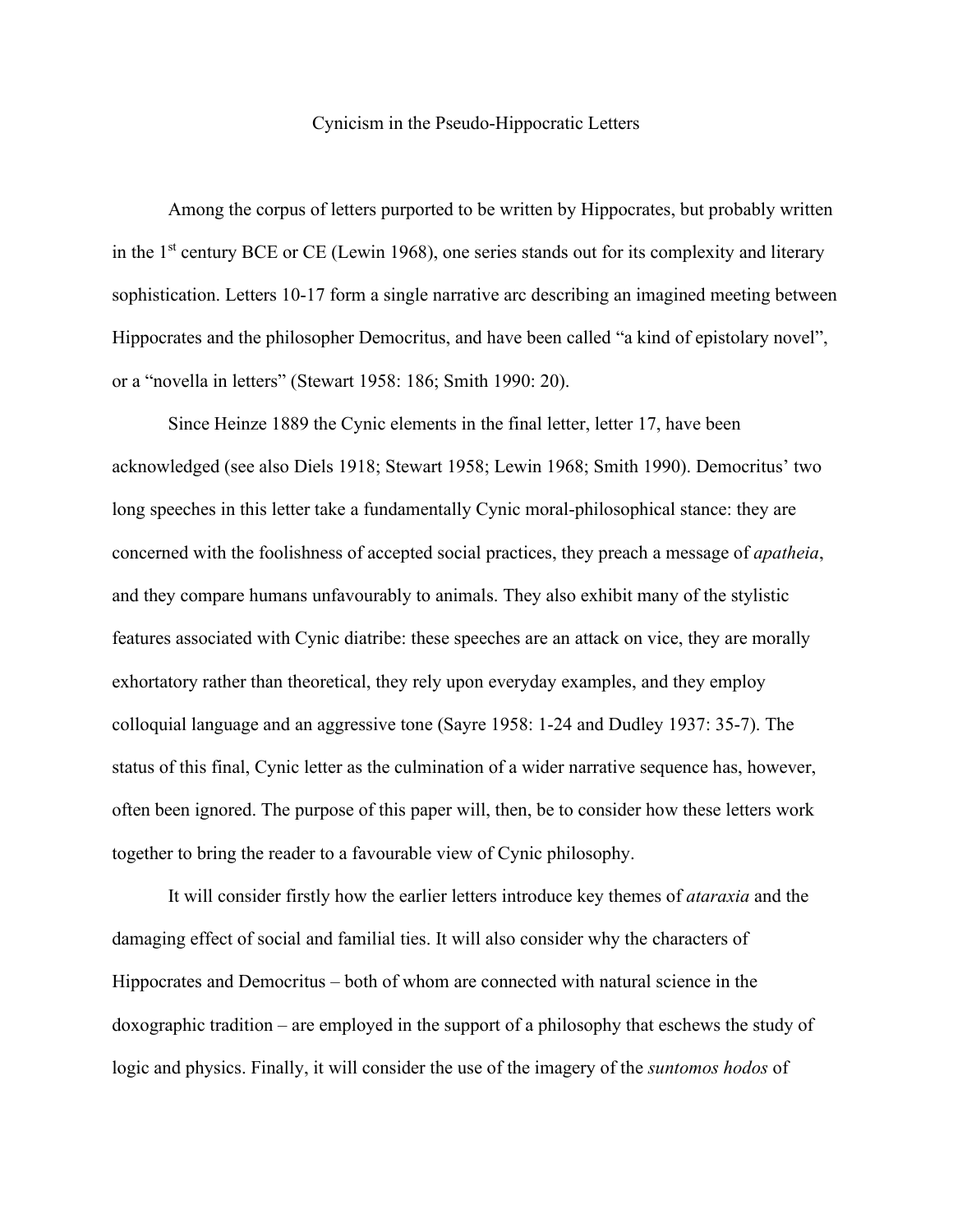## Cynicism in the Pseudo-Hippocratic Letters

Among the corpus of letters purported to be written by Hippocrates, but probably written in the  $1<sup>st</sup>$  century BCE or CE (Lewin 1968), one series stands out for its complexity and literary sophistication. Letters 10-17 form a single narrative arc describing an imagined meeting between Hippocrates and the philosopher Democritus, and have been called "a kind of epistolary novel", or a "novella in letters" (Stewart 1958: 186; Smith 1990: 20).

Since Heinze 1889 the Cynic elements in the final letter, letter 17, have been acknowledged (see also Diels 1918; Stewart 1958; Lewin 1968; Smith 1990). Democritus' two long speeches in this letter take a fundamentally Cynic moral-philosophical stance: they are concerned with the foolishness of accepted social practices, they preach a message of *apatheia*, and they compare humans unfavourably to animals. They also exhibit many of the stylistic features associated with Cynic diatribe: these speeches are an attack on vice, they are morally exhortatory rather than theoretical, they rely upon everyday examples, and they employ colloquial language and an aggressive tone (Sayre 1958: 1-24 and Dudley 1937: 35-7). The status of this final, Cynic letter as the culmination of a wider narrative sequence has, however, often been ignored. The purpose of this paper will, then, be to consider how these letters work together to bring the reader to a favourable view of Cynic philosophy.

It will consider firstly how the earlier letters introduce key themes of *ataraxia* and the damaging effect of social and familial ties. It will also consider why the characters of Hippocrates and Democritus – both of whom are connected with natural science in the doxographic tradition – are employed in the support of a philosophy that eschews the study of logic and physics. Finally, it will consider the use of the imagery of the *suntomos hodos* of